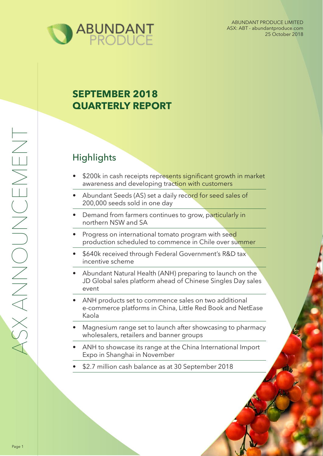

# **SEPTEMBER 2018 QUARTERLY REPORT**

# **Highlights**

- \$200k in cash receipts represents significant growth in market awareness and developing traction with customers
- Abundant Seeds (AS) set a daily record for seed sales of 200,000 seeds sold in one day
- Demand from farmers continues to grow, particularly in northern NSW and SA
- Progress on international tomato program with seed production scheduled to commence in Chile over summer
- \$640k received through Federal Government's R&D tax incentive scheme
- Abundant Natural Health (ANH) preparing to launch on the JD Global sales platform ahead of Chinese Singles Day sales event
- ANH products set to commence sales on two additional e-commerce platforms in China, Little Red Book and NetEase Kaola
- Magnesium range set to launch after showcasing to pharmacy wholesalers, retailers and banner groups
- ANH to showcase its range at the China International Import Expo in Shanghai in November
- \$2.7 million cash balance as at 30 September 2018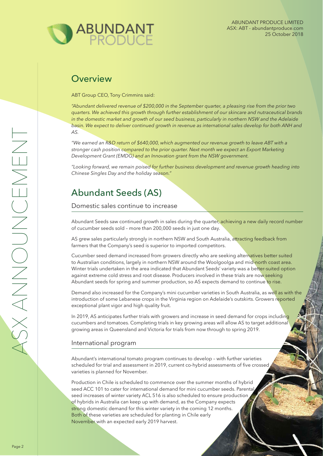

### **Overview**

ABT Group CEO, Tony Crimmins said:

*"Abundant delivered revenue of \$200,000 in the September quarter, a pleasing rise from the prior two quarters. We achieved this growth through further establishment of our skincare and nutraceutical brands in the domestic market and growth of our seed business, particularly in northern NSW and the Adelaide basin. We expect to deliver continued growth in revenue as international sales develop for both ANH and AS.* 

*"We earned an R&D return of \$640,000, which augmented our revenue growth to leave ABT with a stronger cash position compared to the prior quarter. Next month we expect an Export Marketing Development Grant (EMDG) and an Innovation grant from the NSW government.*

*"Looking forward, we remain poised for further business development and revenue growth heading into Chinese Singles Day and the holiday season."*

## Abundant Seeds (AS)

Domestic sales continue to increase

Abundant Seeds saw continued growth in sales during the quarter, achieving a new daily record number of cucumber seeds sold – more than 200,000 seeds in just one day.

AS grew sales particularly strongly in northern NSW and South Australia, attracting feedback from farmers that the Company's seed is superior to imported competitors.

Cucumber seed demand increased from growers directly who are seeking alternatives better suited to Australian conditions, largely in northern NSW around the Woolgoolga and mid-north coast area. Winter trials undertaken in the area indicated that Abundant Seeds' variety was a better-suited option against extreme cold stress and root disease. Producers involved in these trials are now seeking Abundant seeds for spring and summer production, so AS expects demand to continue to rise.

Demand also increased for the Company's mini cucumber varieties in South Australia, as well as with the introduction of some Lebanese crops in the Virginia region on Adelaide's outskirts. Growers reported exceptional plant vigor and high quality fruit.

In 2019, AS anticipates further trials with growers and increase in seed demand for crops including cucumbers and tomatoes. Completing trials in key growing areas will allow AS to target additional growing areas in Queensland and Victoria for trials from now through to spring 2019.

#### International program

Abundant's international tomato program continues to develop – with further varieties scheduled for trial and assessment in 2019, current co-hybrid assessments of five crossed varieties is planned for November.

Production in Chile is scheduled to commence over the summer months of hybrid seed ACC 101 to cater for international demand for mini cucumber seeds. Parental seed increases of winter variety ACL 516 is also scheduled to ensure production of hybrids in Australia can keep up with demand, as the Company expects strong domestic demand for this winter variety in the coming 12 months. Both of these varieties are scheduled for planting in Chile early November with an expected early 2019 harvest.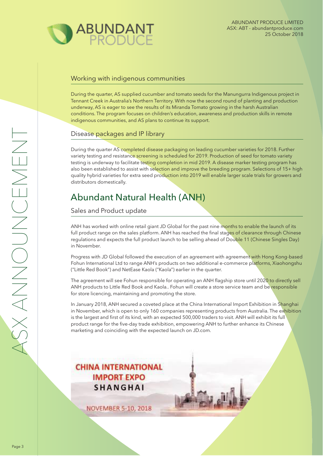

### Working with indigenous communities

During the quarter, AS supplied cucumber and tomato seeds for the Manungurra Indigenous project in Tennant Creek in Australia's Northern Territory. With now the second round of planting and production underway, AS is eager to see the results of its Miranda Tomato growing in the harsh Australian conditions. The program focuses on children's education, awareness and production skills in remote indigenous communities, and AS plans to continue its support.

#### Disease packages and IP library

During the quarter AS completed disease packaging on leading cucumber varieties for 2018. Further variety testing and resistance screening is scheduled for 2019. Production of seed for tomato variety testing is underway to facilitate testing completion in mid 2019. A disease marker testing program has also been established to assist with selection and improve the breeding program. Selections of 15+ high quality hybrid varieties for extra seed production into 2019 will enable larger scale trials for growers and distributors domestically.

# Abundant Natural Health (ANH)

Sales and Product update

ANH has worked with online retail giant JD Global for the past nine months to enable the launch of its full product range on the sales platform. ANH has reached the final stages of clearance through Chinese regulations and expects the full product launch to be selling ahead of Double 11 (Chinese Singles Day) in November.

Progress with JD Global followed the execution of an agreement with agreement with Hong Kong-based Fohun International Ltd to range ANH's products on two additional e-commerce platforms, Xiaohongshu ("Little Red Book") and NetEase Kaola ("Kaola") earlier in the quarter.

The agreement will see Fohun responsible for operating an ANH flagship store until 2020 to directly sell ANH products to Little Red Book and Kaola.. Fohun will create a store service team and be responsible for store licencing, maintaining and promoting the store.

In January 2018, ANH secured a coveted place at the China International Import Exhibition in Shanghai in November, which is open to only 160 companies representing products from Australia. The exhibition is the largest and first of its kind, with an expected 500,000 traders to visit. ANH will exhibit its full product range for the five-day trade exhibition, empowering ANH to further enhance its Chinese marketing and coinciding with the expected launch on JD.com.

**CHINA INTERNATIONAL IMPORT EXPO SHANGHAI** 

**NOVEMBER 5-10, 2018**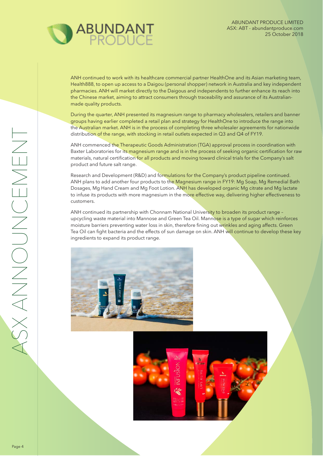

ANH continued to work with its healthcare commercial partner HealthOne and its Asian marketing team, Health888, to open up access to a Daigou (personal shopper) network in Australia and key independent pharmacies. ANH will market directly to the Daigous and independents to further enhance its reach into the Chinese market, aiming to attract consumers through traceability and assurance of its Australianmade quality products.

During the quarter, ANH presented its magnesium range to pharmacy wholesalers, retailers and banner groups having earlier completed a retail plan and strategy for HealthOne to introduce the range into the Australian market. ANH is in the process of completing three wholesaler agreements for nationwide distribution of the range, with stocking in retail outlets expected in Q3 and Q4 of FY19.

ANH commenced the Therapeutic Goods Administration (TGA) approval process in coordination with Baxter Laboratories for its magnesium range and is in the process of seeking organic certification for raw materials, natural certification for all products and moving toward clinical trials for the Company's salt product and future salt range.

Research and Development (R&D) and formulations for the Company's product pipeline continued. ANH plans to add another four products to the Magnesium range in FY19: Mg Soap, Mg Remedial Bath Dosages, Mg Hand Cream and Mg Foot Lotion. ANH has developed organic Mg citrate and Mg lactate to infuse its products with more magnesium in the more effective way, delivering higher effectiveness to customers.

ANH continued its partnership with Chonnam National University to broaden its product range upcycling waste material into Mannose and Green Tea Oil. Mannose is a type of sugar which reinforces moisture barriers preventing water loss in skin, therefore fining out wrinkles and aging affects. Green Tea Oil can fight bacteria and the effects of sun damage on skin. ANH will continue to develop these key ingredients to expand its product range.



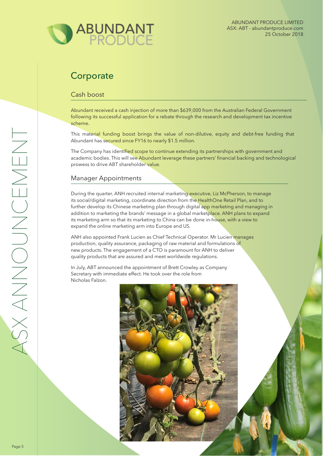

## **Corporate**

### Cash boost

Abundant received a cash injection of more than \$639,000 from the Australian Federal Government following its successful application for a rebate through the research and development tax incentive scheme.

This material funding boost brings the value of non-dilutive, equity and debt-free funding that Abundant has secured since FY16 to nearly \$1.5 million.

The Company has identified scope to continue extending its partnerships with government and academic bodies. This will see Abundant leverage these partners' financial backing and technological prowess to drive ABT shareholder value.

### Manager Appointments

During the quarter, ANH recruited internal marketing executive, Liz McPherson, to manage its social/digital marketing, coordinate direction from the HealthOne Retail Plan, and to further develop its Chinese marketing plan through digital app marketing and managing in addition to marketing the brands' message in a global marketplace. ANH plans to expand its marketing arm so that its marketing to China can be done in-house, with a view to expand the online marketing arm into Europe and US.

ANH also appointed Frank Lucien as Chief Technical Operator. Mr Lucien manages production, quality assurance, packaging of raw material and formulations of new products. The engagement of a CTO is paramount for ANH to deliver quality products that are assured and meet worldwide regulations.

In July, ABT announced the appointment of Brett Crowley as Company Secretary with immediate effect. He took over the role from Nicholas Falzon.

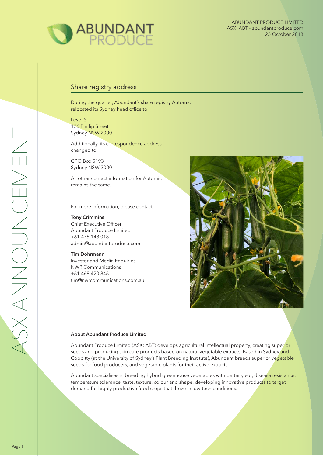

### Share registry address

During the quarter, Abundant's share registry Automic relocated its Sydney head office to:

Level 5 126 Phillip Street Sydney NSW 2000

Additionally, its correspondence address changed to:

GPO Box 5193 Sydney NSW 2000

All other contact information for Automic remains the same.

For more information, please contact:

#### **Tony Crimmins**

Chief Executive Officer Abundant Produce Limited +61 475 148 018 admin@abundantproduce.com

#### **Tim Dohrmann**

Investor and Media Enquiries NWR Communications +61 468 420 846 tim@nwrcommunications.com.au



#### **About Abundant Produce Limited**

Abundant Produce Limited (ASX: ABT) develops agricultural intellectual property, creating superior seeds and producing skin care products based on natural vegetable extracts. Based in Sydney and Cobbitty (at the University of Sydney's Plant Breeding Institute), Abundant breeds superior vegetable seeds for food producers, and vegetable plants for their active extracts.

Abundant specialises in breeding hybrid greenhouse vegetables with better yield, disease resistance, temperature tolerance, taste, texture, colour and shape, developing innovative products to target demand for highly productive food crops that thrive in low-tech conditions.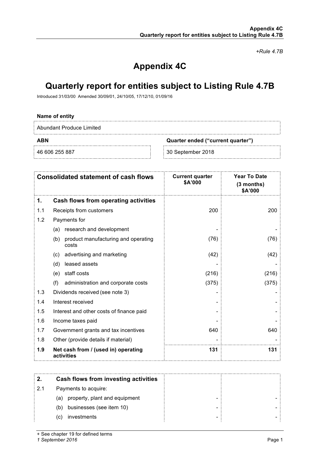*+Rule 4.7B*

## **Appendix 4C**

## **Quarterly report for entities subject to Listing Rule 4.7B**

Introduced 31/03/00 Amended 30/09/01, 24/10/05, 17/12/10, 01/09/16

| Name of entity           |                                   |  |
|--------------------------|-----------------------------------|--|
| Abundant Produce Limited |                                   |  |
| <b>ABN</b>               | Quarter ended ("current quarter") |  |
| 46 606 255 887           | 30 September 2018                 |  |
|                          |                                   |  |

|     | <b>Consolidated statement of cash flows</b>         | <b>Current quarter</b><br>\$A'000 | <b>Year To Date</b><br>(3 months)<br>\$A'000 |
|-----|-----------------------------------------------------|-----------------------------------|----------------------------------------------|
| 1.  | <b>Cash flows from operating activities</b>         |                                   |                                              |
| 1.1 | Receipts from customers                             | 200                               | 200                                          |
| 1.2 | Payments for                                        |                                   |                                              |
|     | research and development<br>(a)                     |                                   |                                              |
|     | product manufacturing and operating<br>(b)<br>costs | (76)                              | (76)                                         |
|     | advertising and marketing<br>(c)                    | (42)                              | (42)                                         |
|     | (d) leased assets                                   |                                   |                                              |
|     | (e) staff costs                                     | (216)                             | (216)                                        |
|     | (f)<br>administration and corporate costs           | (375)                             | (375)                                        |
| 1.3 | Dividends received (see note 3)                     |                                   |                                              |
| 1.4 | Interest received                                   |                                   |                                              |
| 1.5 | Interest and other costs of finance paid            |                                   |                                              |
| 1.6 | Income taxes paid                                   |                                   |                                              |
| 1.7 | Government grants and tax incentives                | 640                               | 640                                          |
| 1.8 | Other (provide details if material)                 |                                   |                                              |
| 1.9 | Net cash from / (used in) operating<br>activities   | 131                               | 131                                          |
|     |                                                     |                                   |                                              |
| 2.  | <b>Cash flows from investing activities</b>         |                                   |                                              |
| 2.1 | Payments to acquire:                                |                                   |                                              |
|     | (a)<br>property, plant and equipment                |                                   |                                              |
|     | businesses (see item 10)<br>(b)                     |                                   |                                              |
|     | investments<br>(c)                                  |                                   |                                              |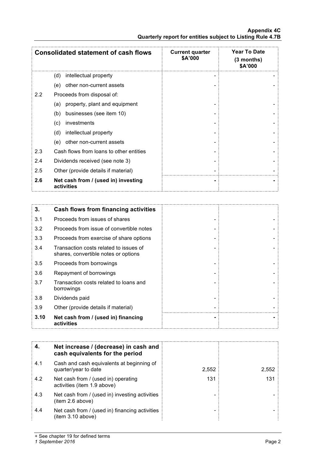#### **Appendix 4C Quarterly report for entities subject to Listing Rule 4.7B**

|         | <b>Consolidated statement of cash flows</b>                                    | <b>Current quarter</b><br>\$A'000 | Year To Date<br>(3 months)<br>\$A'000 |
|---------|--------------------------------------------------------------------------------|-----------------------------------|---------------------------------------|
|         | (d)<br>intellectual property                                                   |                                   |                                       |
|         | other non-current assets<br>(e)                                                |                                   |                                       |
| $2.2\,$ | Proceeds from disposal of:                                                     |                                   |                                       |
|         | property, plant and equipment<br>(a)                                           |                                   |                                       |
|         | businesses (see item 10)<br>(b)                                                |                                   |                                       |
|         | investments<br>(c)                                                             |                                   |                                       |
|         | intellectual property<br>(d)                                                   |                                   |                                       |
|         | other non-current assets<br>(e)                                                |                                   |                                       |
| 2.3     | Cash flows from loans to other entities                                        |                                   |                                       |
| 2.4     | Dividends received (see note 3)                                                |                                   |                                       |
| 2.5     | Other (provide details if material)                                            |                                   |                                       |
| 2.6     | Net cash from / (used in) investing<br>activities                              |                                   |                                       |
|         |                                                                                |                                   |                                       |
| 3.      | <b>Cash flows from financing activities</b>                                    |                                   |                                       |
| 3.1     | Proceeds from issues of shares                                                 |                                   |                                       |
| 3.2     | Proceeds from issue of convertible notes                                       |                                   |                                       |
| 3.3     | Proceeds from exercise of share options                                        |                                   |                                       |
| 3.4     | Transaction costs related to issues of<br>shares, convertible notes or options |                                   |                                       |
| 3.5     | Proceeds from borrowings                                                       |                                   |                                       |
| 3.6     | Repayment of borrowings                                                        |                                   |                                       |
| 3.7     | Transaction costs related to loans and<br>borrowings                           |                                   |                                       |
| 3.8     | Dividends paid                                                                 |                                   |                                       |
| 3.9     | Other (provide details if material)                                            |                                   |                                       |
| 3.10    | Net cash from / (used in) financing<br>activities                              |                                   |                                       |
|         |                                                                                |                                   |                                       |
| 4.      | Net increase / (decrease) in cash and<br>cash equivalents for the period       |                                   |                                       |
| 4.1     | Cash and cash equivalents at beginning of<br>quarter/year to date              | 2,552                             | 2,552                                 |
| 4.2     | Net cash from / (used in) operating<br>activities (item 1.9 above)             | 131                               | 131                                   |
| 4.3     | Net cash from / (used in) investing activities<br>(item 2.6 above)             |                                   |                                       |
| 4.4     | Net cash from / (used in) financing activities<br>(item 3.10 above)            |                                   |                                       |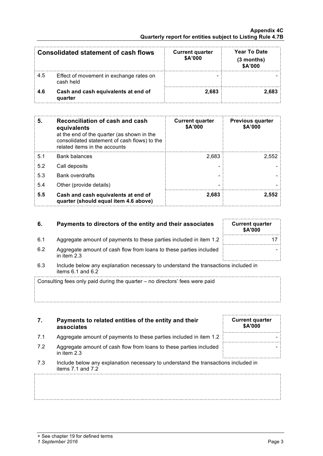|     | Consolidated statement of cash flows                 | <b>Current quarter</b><br>\$A'000 | <b>Year To Date</b><br>$(3$ months)<br>\$A'000 |
|-----|------------------------------------------------------|-----------------------------------|------------------------------------------------|
| 4.5 | Effect of movement in exchange rates on<br>cash held |                                   |                                                |
| 4.6 | Cash and cash equivalents at end of<br>quarter       | 2.683                             | 2.683                                          |

| 5.  | Reconciliation of cash and cash<br>equivalents<br>at the end of the quarter (as shown in the<br>consolidated statement of cash flows) to the<br>related items in the accounts | <b>Current quarter</b><br>\$A'000 | <b>Previous quarter</b><br>\$A'000 |
|-----|-------------------------------------------------------------------------------------------------------------------------------------------------------------------------------|-----------------------------------|------------------------------------|
| 5.1 | <b>Bank balances</b>                                                                                                                                                          | 2.683                             | 2.552                              |
| 5.2 | Call deposits                                                                                                                                                                 |                                   |                                    |
| 5.3 | <b>Bank overdrafts</b>                                                                                                                                                        |                                   |                                    |
| 5.4 | Other (provide details)                                                                                                                                                       |                                   |                                    |
| 5.5 | Cash and cash equivalents at end of<br>quarter (should equal item 4.6 above)                                                                                                  | 2.683                             | 2.552                              |

| 6.                                                                                                                 | Payments to directors of the entity and their associates                            | <b>Current quarter</b><br><b>\$A'000</b> |
|--------------------------------------------------------------------------------------------------------------------|-------------------------------------------------------------------------------------|------------------------------------------|
| 6.1                                                                                                                | Aggregate amount of payments to these parties included in item 1.2                  |                                          |
| 6.2                                                                                                                | Aggregate amount of cash flow from loans to these parties included<br>in item $2.3$ |                                          |
| 6.3<br>Include below any explanation necessary to understand the transactions included in<br>items $6.1$ and $6.2$ |                                                                                     |                                          |
|                                                                                                                    | Consulting fees only paid during the quarter – no directors' fees were paid         |                                          |

| 7.  | Payments to related entities of the entity and their<br>associates                                          | <b>Current quarter</b><br><b>\$A'000</b> |
|-----|-------------------------------------------------------------------------------------------------------------|------------------------------------------|
| 7.1 | Aggregate amount of payments to these parties included in item 1.2                                          |                                          |
| 7.2 | Aggregate amount of cash flow from loans to these parties included<br>in item $2.3$                         |                                          |
| 7.3 | Include below any explanation necessary to understand the transactions included in<br>items $7.1$ and $7.2$ |                                          |
|     |                                                                                                             |                                          |
|     |                                                                                                             |                                          |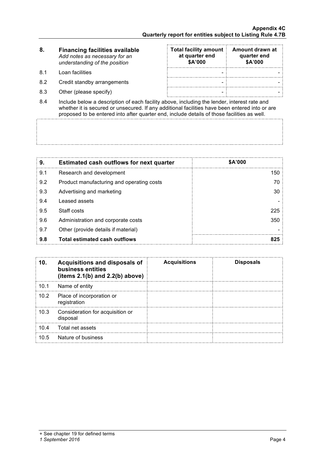- **8. Financing facilities available Total facility amount Amount drawn at quarter end at quarter end** *Add notes as necessary for an*  **\$A'000 \$A'000** *understanding of the position* 8.1 Loan facilities - - 8.2 Credit standby arrangements - - 8.3 Other (please specify) - -
- 8.4 Include below a description of each facility above, including the lender, interest rate and whether it is secured or unsecured. If any additional facilities have been entered into or are proposed to be entered into after quarter end, include details of those facilities as well.

| 9.  | <b>Estimated cash outflows for next quarter</b> | \$A'000 |
|-----|-------------------------------------------------|---------|
| 9.1 | Research and development                        | 150     |
| 9.2 | Product manufacturing and operating costs       | 70      |
| 9.3 | Advertising and marketing                       | 30      |
| 9.4 | Leased assets                                   |         |
| 9.5 | Staff costs                                     | 225     |
| 9.6 | Administration and corporate costs              | 350     |
| 9.7 | Other (provide details if material)             |         |
| 9.8 | <b>Total estimated cash outflows</b>            | 825     |

| 10.  | <b>Acquisitions and disposals of</b><br>business entities<br>(items $2.1(b)$ and $2.2(b)$ above) | <b>Acquisitions</b> | <b>Disposals</b> |
|------|--------------------------------------------------------------------------------------------------|---------------------|------------------|
| 10.1 | Name of entity                                                                                   |                     |                  |
| 10.2 | Place of incorporation or<br>registration                                                        |                     |                  |
| 10.3 | Consideration for acquisition or<br>disposal                                                     |                     |                  |
| 10.4 | Total net assets                                                                                 |                     |                  |
| 10.5 | Nature of business                                                                               |                     |                  |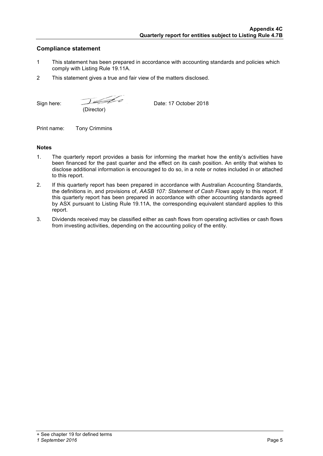### **Compliance statement**

- 1 This statement has been prepared in accordance with accounting standards and policies which comply with Listing Rule 19.11A.
- 2 This statement gives a true and fair view of the matters disclosed.

Sign here: <u>Detail</u> Bate: 17 October 2018 (Director)

Print name: Tony Crimmins

#### **Notes**

- 1. The quarterly report provides a basis for informing the market how the entity's activities have been financed for the past quarter and the effect on its cash position. An entity that wishes to disclose additional information is encouraged to do so, in a note or notes included in or attached to this report.
- 2. If this quarterly report has been prepared in accordance with Australian Accounting Standards, the definitions in, and provisions of, *AASB 107: Statement of Cash Flows* apply to this report. If this quarterly report has been prepared in accordance with other accounting standards agreed by ASX pursuant to Listing Rule 19.11A, the corresponding equivalent standard applies to this report.
- 3. Dividends received may be classified either as cash flows from operating activities or cash flows from investing activities, depending on the accounting policy of the entity.